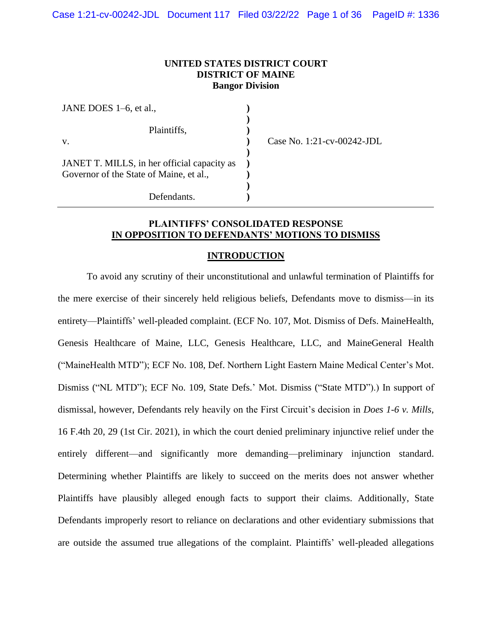## **UNITED STATES DISTRICT COURT DISTRICT OF MAINE Bangor Division**

| JANE DOES 1–6, et al.,                                                                 |  |
|----------------------------------------------------------------------------------------|--|
| Plaintiffs,<br>V.                                                                      |  |
| JANET T. MILLS, in her official capacity as<br>Governor of the State of Maine, et al., |  |
| Defendants.                                                                            |  |

Case No. 1:21-cv-00242-JDL

## **PLAINTIFFS' CONSOLIDATED RESPONSE IN OPPOSITION TO DEFENDANTS' MOTIONS TO DISMISS**

### **INTRODUCTION**

To avoid any scrutiny of their unconstitutional and unlawful termination of Plaintiffs for the mere exercise of their sincerely held religious beliefs, Defendants move to dismiss—in its entirety—Plaintiffs' well-pleaded complaint. (ECF No. 107, Mot. Dismiss of Defs. MaineHealth, Genesis Healthcare of Maine, LLC, Genesis Healthcare, LLC, and MaineGeneral Health ("MaineHealth MTD"); ECF No. 108, Def. Northern Light Eastern Maine Medical Center's Mot. Dismiss ("NL MTD"); ECF No. 109, State Defs.' Mot. Dismiss ("State MTD").) In support of dismissal, however, Defendants rely heavily on the First Circuit's decision in *Does 1-6 v. Mills*, 16 F.4th 20, 29 (1st Cir. 2021), in which the court denied preliminary injunctive relief under the entirely different—and significantly more demanding—preliminary injunction standard. Determining whether Plaintiffs are likely to succeed on the merits does not answer whether Plaintiffs have plausibly alleged enough facts to support their claims. Additionally, State Defendants improperly resort to reliance on declarations and other evidentiary submissions that are outside the assumed true allegations of the complaint. Plaintiffs' well-pleaded allegations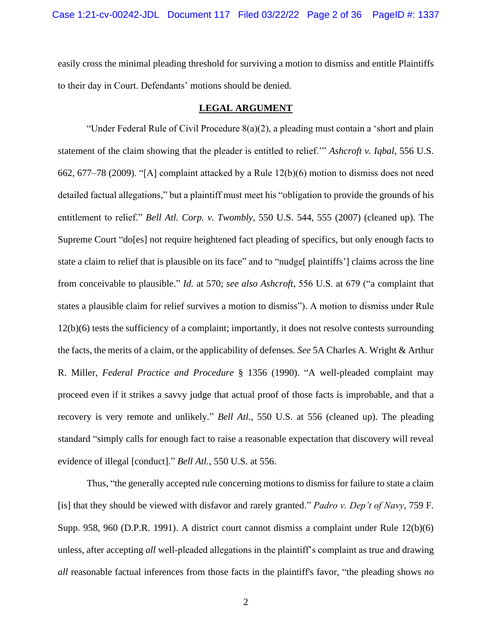easily cross the minimal pleading threshold for surviving a motion to dismiss and entitle Plaintiffs to their day in Court. Defendants' motions should be denied.

## **LEGAL ARGUMENT**

"Under Federal Rule of Civil Procedure 8(a)(2), a pleading must contain a 'short and plain statement of the claim showing that the pleader is entitled to relief.'" *Ashcroft v. Iqbal*, 556 U.S. 662, 677–78 (2009). "[A] complaint attacked by a Rule 12(b)(6) motion to dismiss does not need detailed factual allegations," but a plaintiff must meet his "obligation to provide the grounds of his entitlement to relief." *Bell Atl. Corp. v. Twombly*, 550 U.S. 544, 555 (2007) (cleaned up). The Supreme Court "do[es] not require heightened fact pleading of specifics, but only enough facts to state a claim to relief that is plausible on its face" and to "nudge[ plaintiffs'] claims across the line from conceivable to plausible." *Id.* at 570; *see also Ashcroft*, 556 U.S. at 679 ("a complaint that states a plausible claim for relief survives a motion to dismiss"). A motion to dismiss under Rule 12(b)(6) tests the sufficiency of a complaint; importantly, it does not resolve contests surrounding the facts, the merits of a claim, or the applicability of defenses. *See* 5A Charles A. Wright & Arthur R. Miller, *Federal Practice and Procedure* § 1356 (1990). "A well-pleaded complaint may proceed even if it strikes a savvy judge that actual proof of those facts is improbable, and that a recovery is very remote and unlikely." *Bell Atl.*, 550 U.S. at 556 (cleaned up). The pleading standard "simply calls for enough fact to raise a reasonable expectation that discovery will reveal evidence of illegal [conduct]." *Bell Atl.*, 550 U.S. at 556.

Thus, "the generally accepted rule concerning motions to dismiss for failure to state a claim [is] that they should be viewed with disfavor and rarely granted." *Padro v. Dep't of Navy*, 759 F. Supp. 958, 960 (D.P.R. 1991). A district court cannot dismiss a complaint under Rule 12(b)(6) unless, after accepting *all* well-pleaded allegations in the plaintiff's complaint as true and drawing *all* reasonable factual inferences from those facts in the plaintiff's favor, "the pleading shows *no*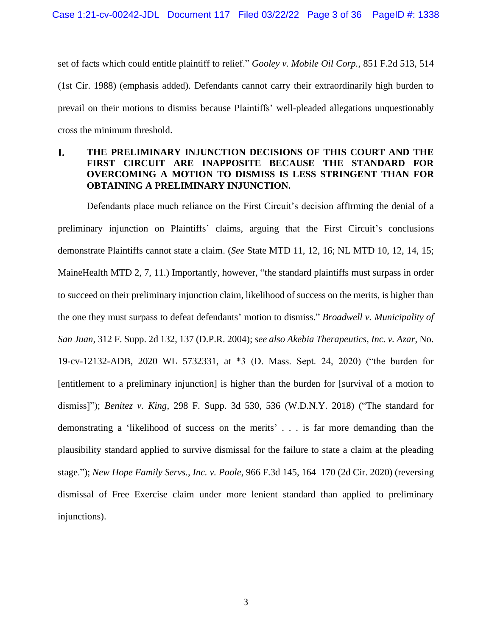set of facts which could entitle plaintiff to relief." *Gooley v. Mobile Oil Corp.*, 851 F.2d 513, 514 (1st Cir. 1988) (emphasis added). Defendants cannot carry their extraordinarily high burden to prevail on their motions to dismiss because Plaintiffs' well-pleaded allegations unquestionably cross the minimum threshold.

### **THE PRELIMINARY INJUNCTION DECISIONS OF THIS COURT AND THE**  L. **FIRST CIRCUIT ARE INAPPOSITE BECAUSE THE STANDARD FOR OVERCOMING A MOTION TO DISMISS IS LESS STRINGENT THAN FOR OBTAINING A PRELIMINARY INJUNCTION.**

Defendants place much reliance on the First Circuit's decision affirming the denial of a preliminary injunction on Plaintiffs' claims, arguing that the First Circuit's conclusions demonstrate Plaintiffs cannot state a claim. (*See* State MTD 11, 12, 16; NL MTD 10, 12, 14, 15; MaineHealth MTD 2, 7, 11.) Importantly, however, "the standard plaintiffs must surpass in order to succeed on their preliminary injunction claim, likelihood of success on the merits, is higher than the one they must surpass to defeat defendants' motion to dismiss." *Broadwell v. Municipality of San Juan*, 312 F. Supp. 2d 132, 137 (D.P.R. 2004); *see also Akebia Therapeutics, Inc. v. Azar*, No. 19-cv-12132-ADB, 2020 WL 5732331, at \*3 (D. Mass. Sept. 24, 2020) ("the burden for [entitlement to a preliminary injunction] is higher than the burden for [survival of a motion to dismiss]"); *Benitez v. King*, 298 F. Supp. 3d 530, 536 (W.D.N.Y. 2018) ("The standard for demonstrating a 'likelihood of success on the merits' . . . is far more demanding than the plausibility standard applied to survive dismissal for the failure to state a claim at the pleading stage."); *New Hope Family Servs., Inc. v. Poole*, 966 F.3d 145, 164–170 (2d Cir. 2020) (reversing dismissal of Free Exercise claim under more lenient standard than applied to preliminary injunctions).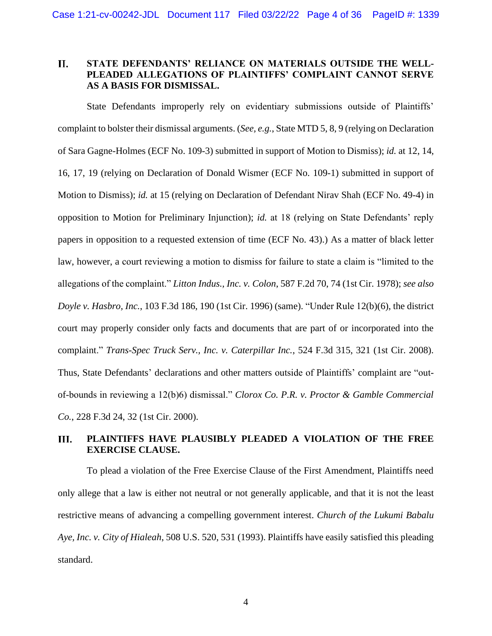### **II. STATE DEFENDANTS' RELIANCE ON MATERIALS OUTSIDE THE WELL-PLEADED ALLEGATIONS OF PLAINTIFFS' COMPLAINT CANNOT SERVE AS A BASIS FOR DISMISSAL.**

State Defendants improperly rely on evidentiary submissions outside of Plaintiffs' complaint to bolster their dismissal arguments. (*See, e.g.*, State MTD 5, 8, 9 (relying on Declaration of Sara Gagne-Holmes (ECF No. 109-3) submitted in support of Motion to Dismiss); *id.* at 12, 14, 16, 17, 19 (relying on Declaration of Donald Wismer (ECF No. 109-1) submitted in support of Motion to Dismiss); *id.* at 15 (relying on Declaration of Defendant Nirav Shah (ECF No. 49-4) in opposition to Motion for Preliminary Injunction); *id.* at 18 (relying on State Defendants' reply papers in opposition to a requested extension of time (ECF No. 43).) As a matter of black letter law, however, a court reviewing a motion to dismiss for failure to state a claim is "limited to the allegations of the complaint." *Litton Indus., Inc. v. Colon*, 587 F.2d 70, 74 (1st Cir. 1978); *see also Doyle v. Hasbro, Inc.*, 103 F.3d 186, 190 (1st Cir. 1996) (same). "Under Rule 12(b)(6), the district court may properly consider only facts and documents that are part of or incorporated into the complaint." *Trans-Spec Truck Serv., Inc. v. Caterpillar Inc.*, 524 F.3d 315, 321 (1st Cir. 2008). Thus, State Defendants' declarations and other matters outside of Plaintiffs' complaint are "outof-bounds in reviewing a 12(b)6) dismissal." *Clorox Co. P.R. v. Proctor & Gamble Commercial Co.*, 228 F.3d 24, 32 (1st Cir. 2000).

#### **PLAINTIFFS HAVE PLAUSIBLY PLEADED A VIOLATION OF THE FREE**  III. **EXERCISE CLAUSE.**

To plead a violation of the Free Exercise Clause of the First Amendment, Plaintiffs need only allege that a law is either not neutral or not generally applicable, and that it is not the least restrictive means of advancing a compelling government interest. *Church of the Lukumi Babalu Aye, Inc. v. City of Hialeah*, 508 U.S. 520, 531 (1993). Plaintiffs have easily satisfied this pleading standard.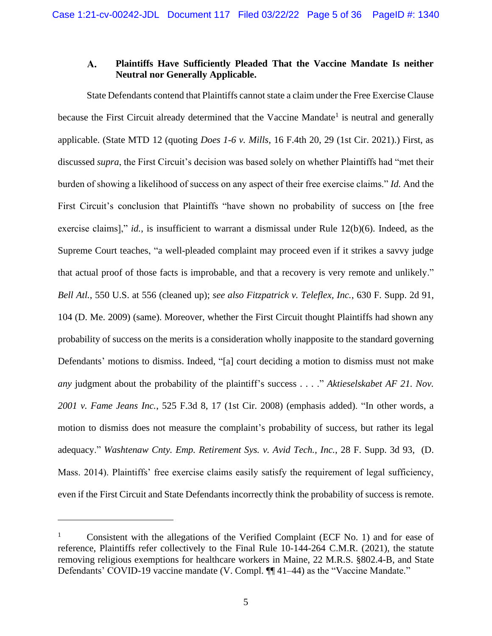#### A. **Plaintiffs Have Sufficiently Pleaded That the Vaccine Mandate Is neither Neutral nor Generally Applicable.**

State Defendants contend that Plaintiffs cannot state a claim under the Free Exercise Clause because the First Circuit already determined that the Vaccine Mandate<sup>1</sup> is neutral and generally applicable. (State MTD 12 (quoting *Does 1-6 v. Mills*, 16 F.4th 20, 29 (1st Cir. 2021).) First, as discussed *supra*, the First Circuit's decision was based solely on whether Plaintiffs had "met their burden of showing a likelihood of success on any aspect of their free exercise claims." *Id.* And the First Circuit's conclusion that Plaintiffs "have shown no probability of success on [the free exercise claims]," *id.*, is insufficient to warrant a dismissal under Rule 12(b)(6). Indeed, as the Supreme Court teaches, "a well-pleaded complaint may proceed even if it strikes a savvy judge that actual proof of those facts is improbable, and that a recovery is very remote and unlikely." *Bell Atl.*, 550 U.S. at 556 (cleaned up); *see also Fitzpatrick v. Teleflex, Inc.*, 630 F. Supp. 2d 91, 104 (D. Me. 2009) (same). Moreover, whether the First Circuit thought Plaintiffs had shown any probability of success on the merits is a consideration wholly inapposite to the standard governing Defendants' motions to dismiss. Indeed, "[a] court deciding a motion to dismiss must not make *any* judgment about the probability of the plaintiff's success . . . ." *Aktieselskabet AF 21. Nov. 2001 v. Fame Jeans Inc.*, 525 F.3d 8, 17 (1st Cir. 2008) (emphasis added). "In other words, a motion to dismiss does not measure the complaint's probability of success, but rather its legal adequacy." *Washtenaw Cnty. Emp. Retirement Sys. v. Avid Tech., Inc.*, 28 F. Supp. 3d 93, (D. Mass. 2014). Plaintiffs' free exercise claims easily satisfy the requirement of legal sufficiency, even if the First Circuit and State Defendants incorrectly think the probability of success is remote.

<sup>&</sup>lt;sup>1</sup> Consistent with the allegations of the Verified Complaint (ECF No. 1) and for ease of reference, Plaintiffs refer collectively to the Final Rule 10-144-264 C.M.R. (2021), the statute removing religious exemptions for healthcare workers in Maine, 22 M.R.S. §802.4-B, and State Defendants' COVID-19 vaccine mandate (V. Compl. ¶¶ 41–44) as the "Vaccine Mandate."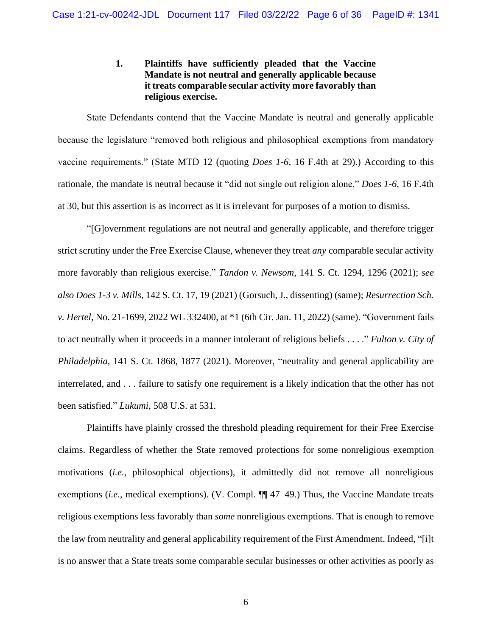## **1. Plaintiffs have sufficiently pleaded that the Vaccine Mandate is not neutral and generally applicable because it treats comparable secular activity more favorably than religious exercise.**

State Defendants contend that the Vaccine Mandate is neutral and generally applicable because the legislature "removed both religious and philosophical exemptions from mandatory vaccine requirements." (State MTD 12 (quoting *Does 1-6*, 16 F.4th at 29).) According to this rationale, the mandate is neutral because it "did not single out religion alone," *Does 1-6*, 16 F.4th at 30, but this assertion is as incorrect as it is irrelevant for purposes of a motion to dismiss.

"[G]overnment regulations are not neutral and generally applicable, and therefore trigger strict scrutiny under the Free Exercise Clause, whenever they treat *any* comparable secular activity more favorably than religious exercise." *Tandon v. Newsom*, 141 S. Ct. 1294, 1296 (2021); *see also Does 1-3 v. Mills*, 142 S. Ct. 17, 19 (2021) (Gorsuch, J., dissenting) (same); *Resurrection Sch. v. Hertel*, No. 21-1699, 2022 WL 332400, at \*1 (6th Cir. Jan. 11, 2022) (same). "Government fails to act neutrally when it proceeds in a manner intolerant of religious beliefs . . . ." *Fulton v. City of Philadelphia*, 141 S. Ct. 1868, 1877 (2021). Moreover, "neutrality and general applicability are interrelated, and . . . failure to satisfy one requirement is a likely indication that the other has not been satisfied." *Lukumi*, 508 U.S. at 531.

Plaintiffs have plainly crossed the threshold pleading requirement for their Free Exercise claims. Regardless of whether the State removed protections for some nonreligious exemption motivations (*i.e.*, philosophical objections), it admittedly did not remove all nonreligious exemptions (*i.e.*, medical exemptions). (V. Compl. ¶¶ 47–49.) Thus, the Vaccine Mandate treats religious exemptions less favorably than *some* nonreligious exemptions. That is enough to remove the law from neutrality and general applicability requirement of the First Amendment. Indeed, "[i]t is no answer that a State treats some comparable secular businesses or other activities as poorly as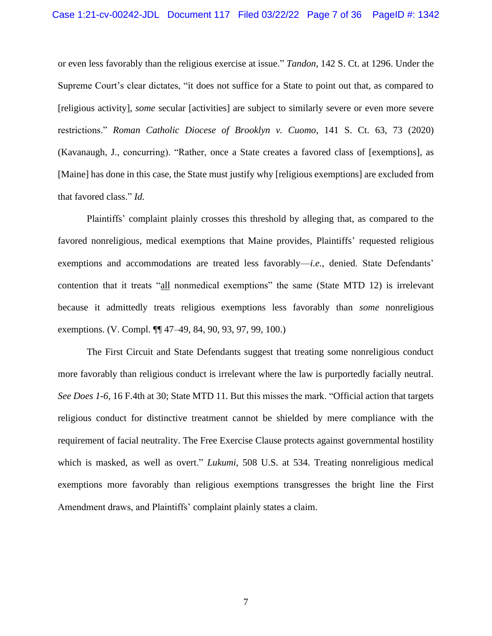or even less favorably than the religious exercise at issue." *Tandon*, 142 S. Ct. at 1296. Under the Supreme Court's clear dictates, "it does not suffice for a State to point out that, as compared to [religious activity], *some* secular [activities] are subject to similarly severe or even more severe restrictions." *Roman Catholic Diocese of Brooklyn v. Cuomo*, 141 S. Ct. 63, 73 (2020) (Kavanaugh, J., concurring). "Rather, once a State creates a favored class of [exemptions], as [Maine] has done in this case, the State must justify why [religious exemptions] are excluded from that favored class." *Id.* 

Plaintiffs' complaint plainly crosses this threshold by alleging that, as compared to the favored nonreligious, medical exemptions that Maine provides, Plaintiffs' requested religious exemptions and accommodations are treated less favorably—*i.e.*, denied. State Defendants' contention that it treats "all nonmedical exemptions" the same (State MTD 12) is irrelevant because it admittedly treats religious exemptions less favorably than *some* nonreligious exemptions. (V. Compl. ¶¶ 47–49, 84, 90, 93, 97, 99, 100.)

The First Circuit and State Defendants suggest that treating some nonreligious conduct more favorably than religious conduct is irrelevant where the law is purportedly facially neutral. *See Does 1-6*, 16 F.4th at 30; State MTD 11. But this misses the mark. "Official action that targets religious conduct for distinctive treatment cannot be shielded by mere compliance with the requirement of facial neutrality. The Free Exercise Clause protects against governmental hostility which is masked, as well as overt." *Lukumi*, 508 U.S. at 534. Treating nonreligious medical exemptions more favorably than religious exemptions transgresses the bright line the First Amendment draws, and Plaintiffs' complaint plainly states a claim.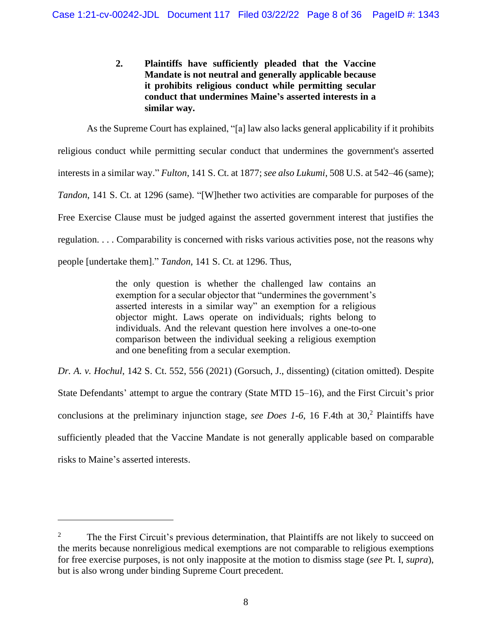# **2. Plaintiffs have sufficiently pleaded that the Vaccine Mandate is not neutral and generally applicable because it prohibits religious conduct while permitting secular conduct that undermines Maine's asserted interests in a similar way.**

As the Supreme Court has explained, "[a] law also lacks general applicability if it prohibits religious conduct while permitting secular conduct that undermines the government's asserted interests in a similar way." *Fulton*, 141 S. Ct. at 1877; *see also Lukumi*, 508 U.S. at 542–46 (same); *Tandon*, 141 S. Ct. at 1296 (same). "[W]hether two activities are comparable for purposes of the Free Exercise Clause must be judged against the asserted government interest that justifies the regulation. . . . Comparability is concerned with risks various activities pose, not the reasons why people [undertake them]." *Tandon*, 141 S. Ct. at 1296. Thus,

> the only question is whether the challenged law contains an exemption for a secular objector that "undermines the government's asserted interests in a similar way" an exemption for a religious objector might. Laws operate on individuals; rights belong to individuals. And the relevant question here involves a one-to-one comparison between the individual seeking a religious exemption and one benefiting from a secular exemption.

*Dr. A. v. Hochul*, 142 S. Ct. 552, 556 (2021) (Gorsuch, J., dissenting) (citation omitted). Despite State Defendants' attempt to argue the contrary (State MTD 15–16), and the First Circuit's prior conclusions at the preliminary injunction stage, *see Does 1-6*, 16 F.4th at 30, <sup>2</sup> Plaintiffs have sufficiently pleaded that the Vaccine Mandate is not generally applicable based on comparable risks to Maine's asserted interests.

<sup>&</sup>lt;sup>2</sup> The the First Circuit's previous determination, that Plaintiffs are not likely to succeed on the merits because nonreligious medical exemptions are not comparable to religious exemptions for free exercise purposes, is not only inapposite at the motion to dismiss stage (*see* Pt. I, *supra*), but is also wrong under binding Supreme Court precedent.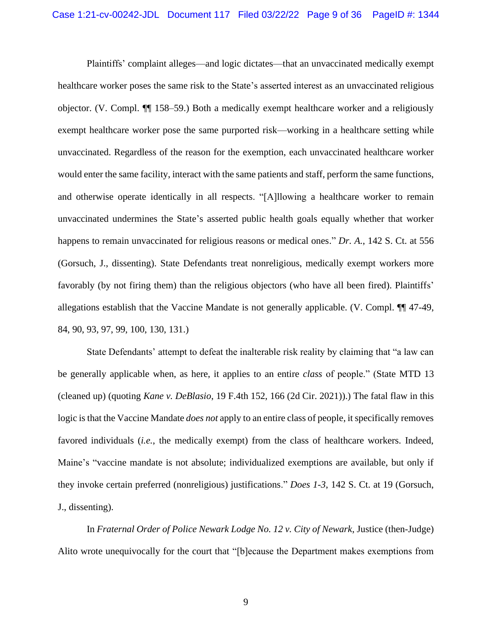Plaintiffs' complaint alleges—and logic dictates—that an unvaccinated medically exempt healthcare worker poses the same risk to the State's asserted interest as an unvaccinated religious objector. (V. Compl. ¶¶ 158–59.) Both a medically exempt healthcare worker and a religiously exempt healthcare worker pose the same purported risk—working in a healthcare setting while unvaccinated. Regardless of the reason for the exemption, each unvaccinated healthcare worker would enter the same facility, interact with the same patients and staff, perform the same functions, and otherwise operate identically in all respects. "[A]llowing a healthcare worker to remain unvaccinated undermines the State's asserted public health goals equally whether that worker happens to remain unvaccinated for religious reasons or medical ones." *Dr. A.*, 142 S. Ct. at 556 (Gorsuch, J., dissenting). State Defendants treat nonreligious, medically exempt workers more favorably (by not firing them) than the religious objectors (who have all been fired). Plaintiffs' allegations establish that the Vaccine Mandate is not generally applicable. (V. Compl. ¶¶ 47-49, 84, 90, 93, 97, 99, 100, 130, 131.)

State Defendants' attempt to defeat the inalterable risk reality by claiming that "a law can be generally applicable when, as here, it applies to an entire *class* of people." (State MTD 13 (cleaned up) (quoting *Kane v. DeBlasio*, 19 F.4th 152, 166 (2d Cir. 2021)).) The fatal flaw in this logic is that the Vaccine Mandate *does not* apply to an entire class of people, it specifically removes favored individuals (*i.e.*, the medically exempt) from the class of healthcare workers. Indeed, Maine's "vaccine mandate is not absolute; individualized exemptions are available, but only if they invoke certain preferred (nonreligious) justifications." *Does 1-3*, 142 S. Ct. at 19 (Gorsuch, J., dissenting).

In *Fraternal Order of Police Newark Lodge No. 12 v. City of Newark*, Justice (then-Judge) Alito wrote unequivocally for the court that "[b]ecause the Department makes exemptions from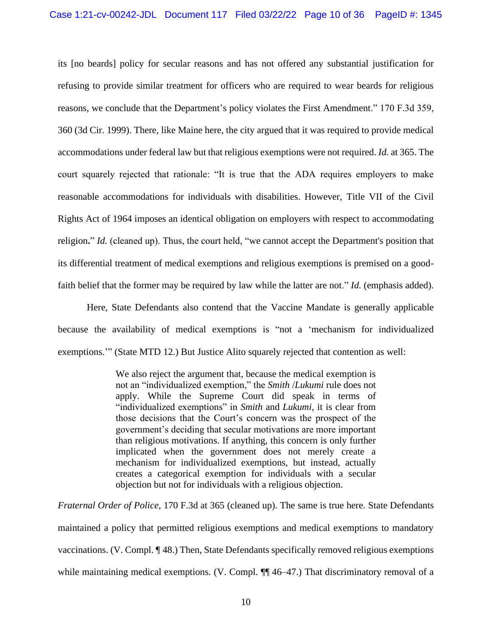its [no beards] policy for secular reasons and has not offered any substantial justification for refusing to provide similar treatment for officers who are required to wear beards for religious reasons, we conclude that the Department's policy violates the First Amendment." 170 F.3d 359, 360 (3d Cir. 1999). There, like Maine here, the city argued that it was required to provide medical accommodations under federal law but that religious exemptions were not required. *Id.* at 365. The court squarely rejected that rationale: "It is true that the ADA requires employers to make reasonable accommodations for individuals with disabilities. However, Title VII of the Civil Rights Act of 1964 imposes an identical obligation on employers with respect to accommodating religion**.**" *Id.* (cleaned up). Thus, the court held, "we cannot accept the Department's position that its differential treatment of medical exemptions and religious exemptions is premised on a goodfaith belief that the former may be required by law while the latter are not." *Id.* (emphasis added).

Here, State Defendants also contend that the Vaccine Mandate is generally applicable because the availability of medical exemptions is "not a 'mechanism for individualized exemptions.'" (State MTD 12.) But Justice Alito squarely rejected that contention as well:

> We also reject the argument that, because the medical exemption is not an "individualized exemption," the *Smith* /*Lukumi* rule does not apply. While the Supreme Court did speak in terms of "individualized exemptions" in *Smith* and *Lukumi,* it is clear from those decisions that the Court's concern was the prospect of the government's deciding that secular motivations are more important than religious motivations. If anything, this concern is only further implicated when the government does not merely create a mechanism for individualized exemptions, but instead, actually creates a categorical exemption for individuals with a secular objection but not for individuals with a religious objection.

*Fraternal Order of Police*, 170 F.3d at 365 (cleaned up). The same is true here. State Defendants maintained a policy that permitted religious exemptions and medical exemptions to mandatory vaccinations. (V. Compl. ¶ 48.) Then, State Defendants specifically removed religious exemptions while maintaining medical exemptions. (V. Compl.  $\P\P$  46–47.) That discriminatory removal of a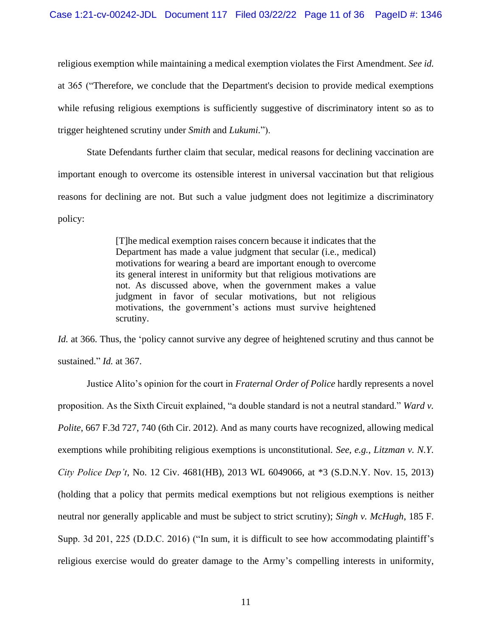religious exemption while maintaining a medical exemption violates the First Amendment. *See id.* at 365 ("Therefore, we conclude that the Department's decision to provide medical exemptions while refusing religious exemptions is sufficiently suggestive of discriminatory intent so as to trigger heightened scrutiny under *Smith* and *Lukumi.*").

State Defendants further claim that secular, medical reasons for declining vaccination are important enough to overcome its ostensible interest in universal vaccination but that religious reasons for declining are not. But such a value judgment does not legitimize a discriminatory policy:

> [T]he medical exemption raises concern because it indicates that the Department has made a value judgment that secular (i.e., medical) motivations for wearing a beard are important enough to overcome its general interest in uniformity but that religious motivations are not. As discussed above, when the government makes a value judgment in favor of secular motivations, but not religious motivations, the government's actions must survive heightened scrutiny.

*Id.* at 366. Thus, the 'policy cannot survive any degree of heightened scrutiny and thus cannot be sustained." *Id.* at 367.

Justice Alito's opinion for the court in *Fraternal Order of Police* hardly represents a novel proposition. As the Sixth Circuit explained, "a double standard is not a neutral standard." *Ward v. Polite*, 667 F.3d 727, 740 (6th Cir. 2012). And as many courts have recognized, allowing medical exemptions while prohibiting religious exemptions is unconstitutional. *See, e.g.*, *Litzman v. N.Y. City Police Dep't*, No. 12 Civ. 4681(HB), 2013 WL 6049066, at \*3 (S.D.N.Y. Nov. 15, 2013) (holding that a policy that permits medical exemptions but not religious exemptions is neither neutral nor generally applicable and must be subject to strict scrutiny); *Singh v. McHugh*, 185 F. Supp. 3d 201, 225 (D.D.C. 2016) ("In sum, it is difficult to see how accommodating plaintiff's religious exercise would do greater damage to the Army's compelling interests in uniformity,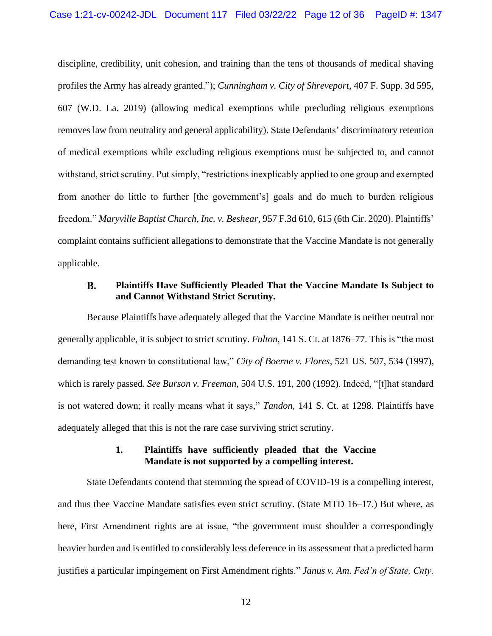discipline, credibility, unit cohesion, and training than the tens of thousands of medical shaving profiles the Army has already granted."); *Cunningham v. City of Shreveport*, 407 F. Supp. 3d 595, 607 (W.D. La. 2019) (allowing medical exemptions while precluding religious exemptions removes law from neutrality and general applicability). State Defendants' discriminatory retention of medical exemptions while excluding religious exemptions must be subjected to, and cannot withstand, strict scrutiny. Put simply, "restrictions inexplicably applied to one group and exempted from another do little to further [the government's] goals and do much to burden religious freedom." *Maryville Baptist Church, Inc. v. Beshear*, 957 F.3d 610, 615 (6th Cir. 2020). Plaintiffs' complaint contains sufficient allegations to demonstrate that the Vaccine Mandate is not generally applicable.

#### **Plaintiffs Have Sufficiently Pleaded That the Vaccine Mandate Is Subject to B. and Cannot Withstand Strict Scrutiny.**

Because Plaintiffs have adequately alleged that the Vaccine Mandate is neither neutral nor generally applicable, it is subject to strict scrutiny. *Fulton*, 141 S. Ct. at 1876–77. This is "the most demanding test known to constitutional law," *City of Boerne v. Flores*, 521 US. 507, 534 (1997), which is rarely passed. *See Burson v. Freeman*, 504 U.S. 191, 200 (1992). Indeed, "[t]hat standard is not watered down; it really means what it says," *Tandon*, 141 S. Ct. at 1298. Plaintiffs have adequately alleged that this is not the rare case surviving strict scrutiny.

## **1. Plaintiffs have sufficiently pleaded that the Vaccine Mandate is not supported by a compelling interest.**

State Defendants contend that stemming the spread of COVID-19 is a compelling interest, and thus thee Vaccine Mandate satisfies even strict scrutiny. (State MTD 16–17.) But where, as here, First Amendment rights are at issue, "the government must shoulder a correspondingly heavier burden and is entitled to considerably less deference in its assessment that a predicted harm justifies a particular impingement on First Amendment rights." *Janus v. Am. Fed'n of State, Cnty.*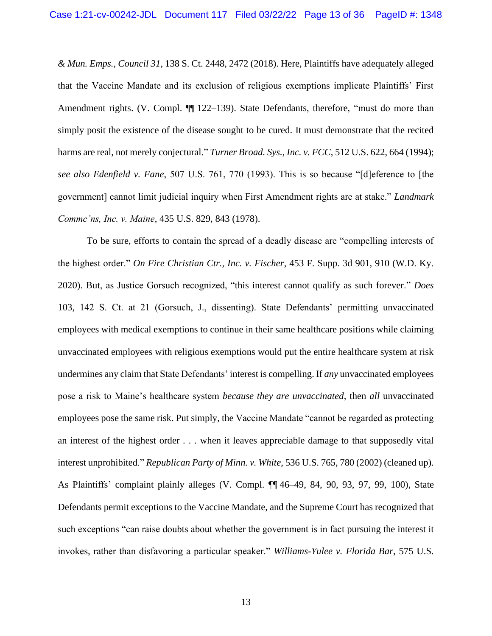*& Mun. Emps., Council 31*, 138 S. Ct. 2448, 2472 (2018). Here, Plaintiffs have adequately alleged that the Vaccine Mandate and its exclusion of religious exemptions implicate Plaintiffs' First Amendment rights. (V. Compl.  $\P$  122–139). State Defendants, therefore, "must do more than simply posit the existence of the disease sought to be cured. It must demonstrate that the recited harms are real, not merely conjectural." *Turner Broad. Sys., Inc. v. FCC*, 512 U.S. 622, 664 (1994); *see also Edenfield v. Fane*, 507 U.S. 761, 770 (1993). This is so because "[d]eference to [the government] cannot limit judicial inquiry when First Amendment rights are at stake." *Landmark Commc'ns, Inc. v. Maine*, 435 U.S. 829, 843 (1978).

To be sure, efforts to contain the spread of a deadly disease are "compelling interests of the highest order." *On Fire Christian Ctr., Inc. v. Fischer*, 453 F. Supp. 3d 901, 910 (W.D. Ky. 2020). But, as Justice Gorsuch recognized, "this interest cannot qualify as such forever." *Does*  103, 142 S. Ct. at 21 (Gorsuch, J., dissenting). State Defendants' permitting unvaccinated employees with medical exemptions to continue in their same healthcare positions while claiming unvaccinated employees with religious exemptions would put the entire healthcare system at risk undermines any claim that State Defendants' interest is compelling. If *any* unvaccinated employees pose a risk to Maine's healthcare system *because they are unvaccinated*, then *all* unvaccinated employees pose the same risk. Put simply, the Vaccine Mandate "cannot be regarded as protecting an interest of the highest order . . . when it leaves appreciable damage to that supposedly vital interest unprohibited." *Republican Party of Minn. v. White*, 536 U.S. 765, 780 (2002) (cleaned up). As Plaintiffs' complaint plainly alleges (V. Compl. ¶¶ 46–49, 84, 90, 93, 97, 99, 100), State Defendants permit exceptions to the Vaccine Mandate, and the Supreme Court has recognized that such exceptions "can raise doubts about whether the government is in fact pursuing the interest it invokes, rather than disfavoring a particular speaker." *Williams-Yulee v. Florida Bar*, 575 U.S.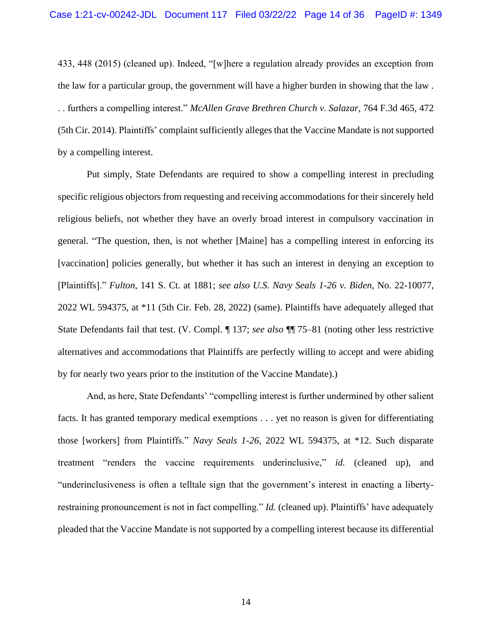433, 448 (2015) (cleaned up). Indeed, "[w]here a regulation already provides an exception from the law for a particular group, the government will have a higher burden in showing that the law . . . furthers a compelling interest." *McAllen Grave Brethren Church v. Salazar*, 764 F.3d 465, 472 (5th Cir. 2014). Plaintiffs' complaint sufficiently alleges that the Vaccine Mandate is not supported by a compelling interest.

Put simply, State Defendants are required to show a compelling interest in precluding specific religious objectors from requesting and receiving accommodations for their sincerely held religious beliefs, not whether they have an overly broad interest in compulsory vaccination in general. "The question, then, is not whether [Maine] has a compelling interest in enforcing its [vaccination] policies generally, but whether it has such an interest in denying an exception to [Plaintiffs]." *Fulton*, 141 S. Ct. at 1881; *see also U.S. Navy Seals 1-26 v. Biden*, No. 22-10077, 2022 WL 594375, at \*11 (5th Cir. Feb. 28, 2022) (same). Plaintiffs have adequately alleged that State Defendants fail that test. (V. Compl. ¶ 137; *see also* ¶¶ 75–81 (noting other less restrictive alternatives and accommodations that Plaintiffs are perfectly willing to accept and were abiding by for nearly two years prior to the institution of the Vaccine Mandate).)

And, as here, State Defendants' "compelling interest is further undermined by other salient facts. It has granted temporary medical exemptions . . . yet no reason is given for differentiating those [workers] from Plaintiffs." *Navy Seals 1-26*, 2022 WL 594375, at \*12. Such disparate treatment "renders the vaccine requirements underinclusive," *id.* (cleaned up), and "underinclusiveness is often a telltale sign that the government's interest in enacting a libertyrestraining pronouncement is not in fact compelling." *Id.* (cleaned up). Plaintiffs' have adequately pleaded that the Vaccine Mandate is not supported by a compelling interest because its differential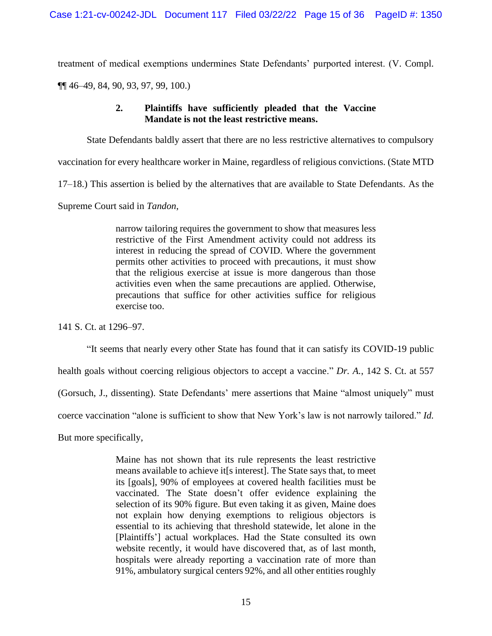treatment of medical exemptions undermines State Defendants' purported interest. (V. Compl.

¶¶ 46–49, 84, 90, 93, 97, 99, 100.)

## **2. Plaintiffs have sufficiently pleaded that the Vaccine Mandate is not the least restrictive means.**

State Defendants baldly assert that there are no less restrictive alternatives to compulsory

vaccination for every healthcare worker in Maine, regardless of religious convictions. (State MTD

17–18.) This assertion is belied by the alternatives that are available to State Defendants. As the

Supreme Court said in *Tandon*,

narrow tailoring requires the government to show that measures less restrictive of the First Amendment activity could not address its interest in reducing the spread of COVID. Where the government permits other activities to proceed with precautions, it must show that the religious exercise at issue is more dangerous than those activities even when the same precautions are applied. Otherwise, precautions that suffice for other activities suffice for religious exercise too.

141 S. Ct. at 1296–97.

"It seems that nearly every other State has found that it can satisfy its COVID-19 public

health goals without coercing religious objectors to accept a vaccine." *Dr. A.*, 142 S. Ct. at 557

(Gorsuch, J., dissenting). State Defendants' mere assertions that Maine "almost uniquely" must

coerce vaccination "alone is sufficient to show that New York's law is not narrowly tailored." *Id.*

But more specifically,

Maine has not shown that its rule represents the least restrictive means available to achieve it[s interest]. The State says that, to meet its [goals], 90% of employees at covered health facilities must be vaccinated. The State doesn't offer evidence explaining the selection of its 90% figure. But even taking it as given, Maine does not explain how denying exemptions to religious objectors is essential to its achieving that threshold statewide, let alone in the [Plaintiffs'] actual workplaces. Had the State consulted its own website recently, it would have discovered that, as of last month, hospitals were already reporting a vaccination rate of more than 91%, ambulatory surgical centers 92%, and all other entities roughly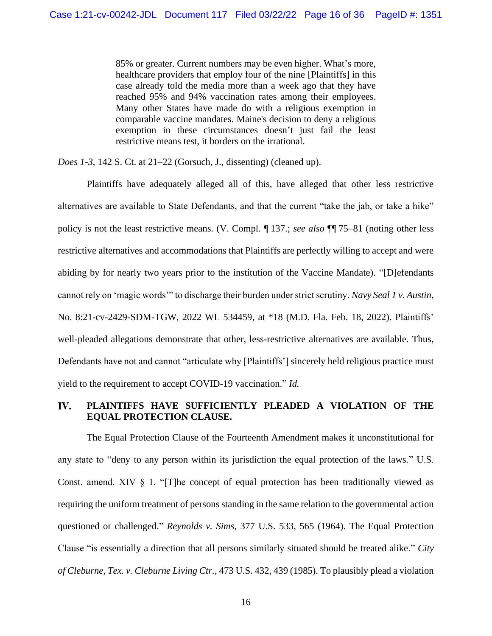85% or greater. Current numbers may be even higher. What's more, healthcare providers that employ four of the nine [Plaintiffs] in this case already told the media more than a week ago that they have reached 95% and 94% vaccination rates among their employees. Many other States have made do with a religious exemption in comparable vaccine mandates. Maine's decision to deny a religious exemption in these circumstances doesn't just fail the least restrictive means test, it borders on the irrational.

*Does 1-3*, 142 S. Ct. at 21–22 (Gorsuch, J., dissenting) (cleaned up).

Plaintiffs have adequately alleged all of this, have alleged that other less restrictive alternatives are available to State Defendants, and that the current "take the jab, or take a hike" policy is not the least restrictive means. (V. Compl. ¶ 137.; *see also* ¶¶ 75–81 (noting other less restrictive alternatives and accommodations that Plaintiffs are perfectly willing to accept and were abiding by for nearly two years prior to the institution of the Vaccine Mandate). "[D]efendants cannot rely on 'magic words'" to discharge their burden under strict scrutiny. *Navy Seal 1 v. Austin*, No. 8:21-cv-2429-SDM-TGW, 2022 WL 534459, at \*18 (M.D. Fla. Feb. 18, 2022). Plaintiffs' well-pleaded allegations demonstrate that other, less-restrictive alternatives are available. Thus, Defendants have not and cannot "articulate why [Plaintiffs'] sincerely held religious practice must yield to the requirement to accept COVID-19 vaccination." *Id.*

#### IV. **PLAINTIFFS HAVE SUFFICIENTLY PLEADED A VIOLATION OF THE EQUAL PROTECTION CLAUSE.**

The Equal Protection Clause of the Fourteenth Amendment makes it unconstitutional for any state to "deny to any person within its jurisdiction the equal protection of the laws." U.S. Const. amend. XIV  $\S$  1. "[T]he concept of equal protection has been traditionally viewed as requiring the uniform treatment of persons standing in the same relation to the governmental action questioned or challenged." *Reynolds v. Sims*, 377 U.S. 533, 565 (1964). The Equal Protection Clause "is essentially a direction that all persons similarly situated should be treated alike." *City of Cleburne, Tex. v. Cleburne Living Ctr.*, 473 U.S. 432, 439 (1985). To plausibly plead a violation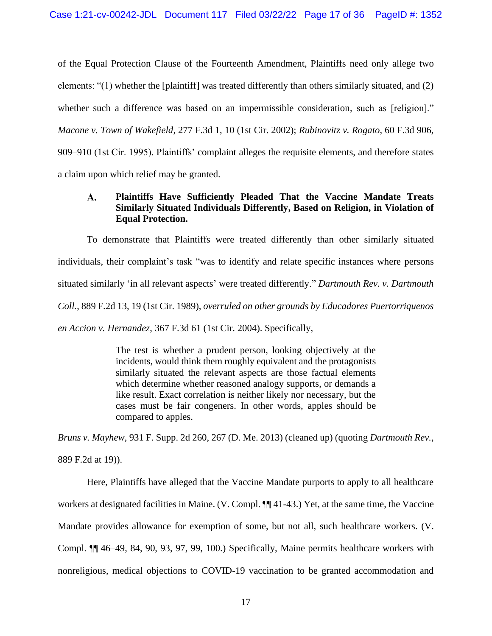of the Equal Protection Clause of the Fourteenth Amendment, Plaintiffs need only allege two elements: "(1) whether the [plaintiff] was treated differently than others similarly situated, and (2) whether such a difference was based on an impermissible consideration, such as [religion]." *Macone v. Town of Wakefield*, 277 F.3d 1, 10 (1st Cir. 2002); *Rubinovitz v. Rogato*, 60 F.3d 906, 909–910 (1st Cir. 1995). Plaintiffs' complaint alleges the requisite elements, and therefore states a claim upon which relief may be granted.

### **Plaintiffs Have Sufficiently Pleaded That the Vaccine Mandate Treats**   $\mathbf{A}$ . **Similarly Situated Individuals Differently, Based on Religion, in Violation of Equal Protection.**

To demonstrate that Plaintiffs were treated differently than other similarly situated individuals, their complaint's task "was to identify and relate specific instances where persons situated similarly 'in all relevant aspects' were treated differently." *Dartmouth Rev. v. Dartmouth Coll.*, 889 F.2d 13, 19 (1st Cir. 1989), *overruled on other grounds by Educadores Puertorriquenos en Accion v. Hernandez*, 367 F.3d 61 (1st Cir. 2004). Specifically,

> The test is whether a prudent person, looking objectively at the incidents, would think them roughly equivalent and the protagonists similarly situated the relevant aspects are those factual elements which determine whether reasoned analogy supports, or demands a like result. Exact correlation is neither likely nor necessary, but the cases must be fair congeners. In other words, apples should be compared to apples.

*Bruns v. Mayhew*, 931 F. Supp. 2d 260, 267 (D. Me. 2013) (cleaned up) (quoting *Dartmouth Rev.*,

889 F.2d at 19)).

Here, Plaintiffs have alleged that the Vaccine Mandate purports to apply to all healthcare workers at designated facilities in Maine. (V. Compl. ¶¶ 41-43.) Yet, at the same time, the Vaccine Mandate provides allowance for exemption of some, but not all, such healthcare workers. (V. Compl. ¶¶ 46–49, 84, 90, 93, 97, 99, 100.) Specifically, Maine permits healthcare workers with nonreligious, medical objections to COVID-19 vaccination to be granted accommodation and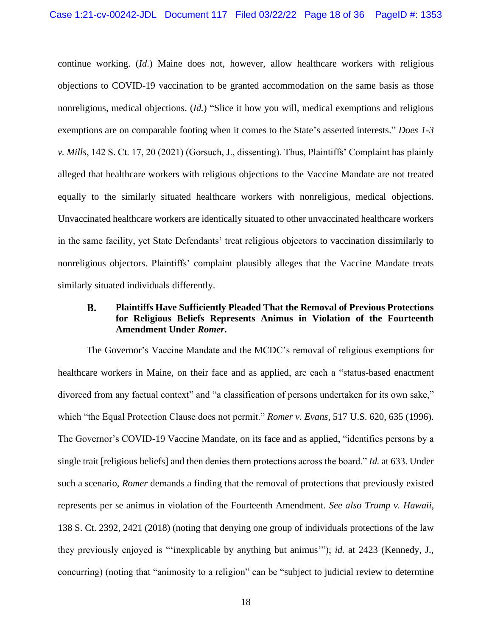continue working. (*Id*.) Maine does not, however, allow healthcare workers with religious objections to COVID-19 vaccination to be granted accommodation on the same basis as those nonreligious, medical objections. (*Id.*) "Slice it how you will, medical exemptions and religious exemptions are on comparable footing when it comes to the State's asserted interests." *Does 1-3 v. Mills*, 142 S. Ct. 17, 20 (2021) (Gorsuch, J., dissenting). Thus, Plaintiffs' Complaint has plainly alleged that healthcare workers with religious objections to the Vaccine Mandate are not treated equally to the similarly situated healthcare workers with nonreligious, medical objections. Unvaccinated healthcare workers are identically situated to other unvaccinated healthcare workers in the same facility, yet State Defendants' treat religious objectors to vaccination dissimilarly to nonreligious objectors. Plaintiffs' complaint plausibly alleges that the Vaccine Mandate treats similarly situated individuals differently.

### **B. Plaintiffs Have Sufficiently Pleaded That the Removal of Previous Protections for Religious Beliefs Represents Animus in Violation of the Fourteenth Amendment Under** *Romer***.**

The Governor's Vaccine Mandate and the MCDC's removal of religious exemptions for healthcare workers in Maine, on their face and as applied, are each a "status-based enactment divorced from any factual context" and "a classification of persons undertaken for its own sake," which "the Equal Protection Clause does not permit." *Romer v. Evans*, 517 U.S. 620, 635 (1996). The Governor's COVID-19 Vaccine Mandate, on its face and as applied, "identifies persons by a single trait [religious beliefs] and then denies them protections across the board." *Id.* at 633. Under such a scenario, *Romer* demands a finding that the removal of protections that previously existed represents per se animus in violation of the Fourteenth Amendment. *See also Trump v. Hawaii*, 138 S. Ct. 2392, 2421 (2018) (noting that denying one group of individuals protections of the law they previously enjoyed is "'inexplicable by anything but animus'"); *id.* at 2423 (Kennedy, J., concurring) (noting that "animosity to a religion" can be "subject to judicial review to determine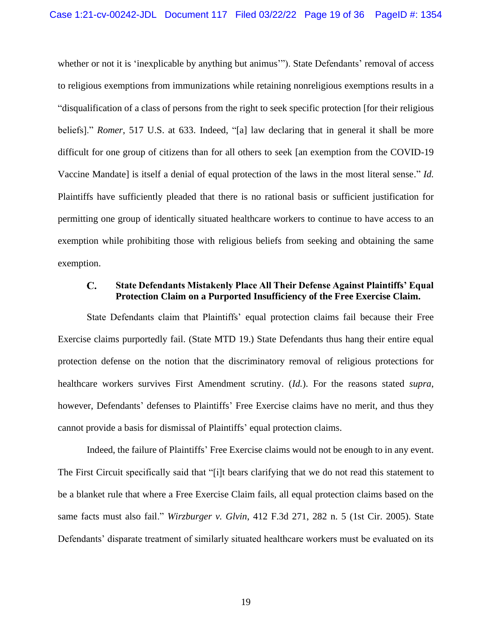whether or not it is 'inexplicable by anything but animus'"). State Defendants' removal of access to religious exemptions from immunizations while retaining nonreligious exemptions results in a "disqualification of a class of persons from the right to seek specific protection [for their religious beliefs]." *Romer*, 517 U.S. at 633. Indeed, "[a] law declaring that in general it shall be more difficult for one group of citizens than for all others to seek [an exemption from the COVID-19 Vaccine Mandate] is itself a denial of equal protection of the laws in the most literal sense." *Id.* Plaintiffs have sufficiently pleaded that there is no rational basis or sufficient justification for permitting one group of identically situated healthcare workers to continue to have access to an exemption while prohibiting those with religious beliefs from seeking and obtaining the same exemption.

#### **State Defendants Mistakenly Place All Their Defense Against Plaintiffs' Equal**   $C_{\bullet}$ **Protection Claim on a Purported Insufficiency of the Free Exercise Claim.**

State Defendants claim that Plaintiffs' equal protection claims fail because their Free Exercise claims purportedly fail. (State MTD 19.) State Defendants thus hang their entire equal protection defense on the notion that the discriminatory removal of religious protections for healthcare workers survives First Amendment scrutiny. (*Id.*). For the reasons stated *supra*, however, Defendants' defenses to Plaintiffs' Free Exercise claims have no merit, and thus they cannot provide a basis for dismissal of Plaintiffs' equal protection claims.

Indeed, the failure of Plaintiffs' Free Exercise claims would not be enough to in any event. The First Circuit specifically said that "[i]t bears clarifying that we do not read this statement to be a blanket rule that where a Free Exercise Claim fails, all equal protection claims based on the same facts must also fail." *Wirzburger v. Glvin*, 412 F.3d 271, 282 n. 5 (1st Cir. 2005). State Defendants' disparate treatment of similarly situated healthcare workers must be evaluated on its

19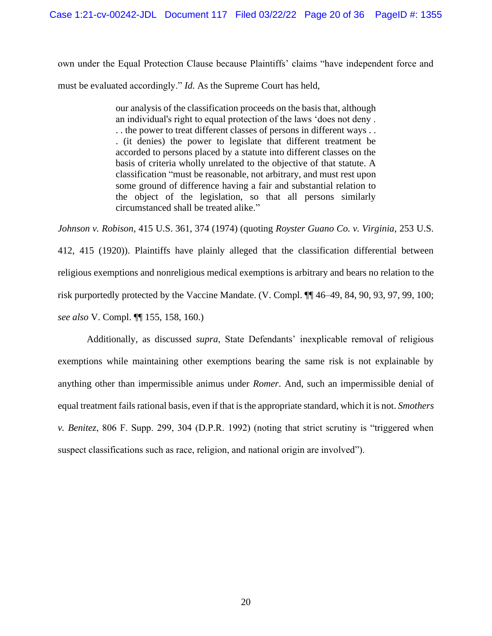own under the Equal Protection Clause because Plaintiffs' claims "have independent force and must be evaluated accordingly." *Id.* As the Supreme Court has held,

> our analysis of the classification proceeds on the basis that, although an individual's right to equal protection of the laws 'does not deny . . . the power to treat different classes of persons in different ways . . . (it denies) the power to legislate that different treatment be accorded to persons placed by a statute into different classes on the basis of criteria wholly unrelated to the objective of that statute. A classification "must be reasonable, not arbitrary, and must rest upon some ground of difference having a fair and substantial relation to the object of the legislation, so that all persons similarly circumstanced shall be treated alike."

*Johnson v. Robison*, 415 U.S. 361, 374 (1974) (quoting *Royster Guano Co. v. Virginia*, 253 U.S. 412, 415 (1920)). Plaintiffs have plainly alleged that the classification differential between religious exemptions and nonreligious medical exemptions is arbitrary and bears no relation to the risk purportedly protected by the Vaccine Mandate. (V. Compl. ¶¶ 46–49, 84, 90, 93, 97, 99, 100; *see also* V. Compl. ¶¶ 155, 158, 160.)

Additionally, as discussed *supra*, State Defendants' inexplicable removal of religious exemptions while maintaining other exemptions bearing the same risk is not explainable by anything other than impermissible animus under *Romer*. And, such an impermissible denial of equal treatment fails rational basis, even if that is the appropriate standard, which it is not. *Smothers v. Benitez*, 806 F. Supp. 299, 304 (D.P.R. 1992) (noting that strict scrutiny is "triggered when suspect classifications such as race, religion, and national origin are involved").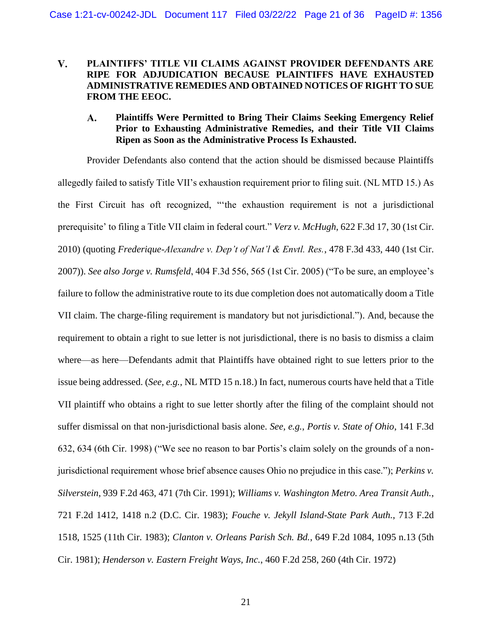### $V_{\bullet}$ **PLAINTIFFS' TITLE VII CLAIMS AGAINST PROVIDER DEFENDANTS ARE RIPE FOR ADJUDICATION BECAUSE PLAINTIFFS HAVE EXHAUSTED ADMINISTRATIVE REMEDIES AND OBTAINED NOTICES OF RIGHT TO SUE FROM THE EEOC.**

### A. **Plaintiffs Were Permitted to Bring Their Claims Seeking Emergency Relief Prior to Exhausting Administrative Remedies, and their Title VII Claims Ripen as Soon as the Administrative Process Is Exhausted.**

Provider Defendants also contend that the action should be dismissed because Plaintiffs allegedly failed to satisfy Title VII's exhaustion requirement prior to filing suit. (NL MTD 15.) As the First Circuit has oft recognized, "'the exhaustion requirement is not a jurisdictional prerequisite' to filing a Title VII claim in federal court." *Verz v. McHugh*, 622 F.3d 17, 30 (1st Cir. 2010) (quoting *Frederique-Alexandre v. Dep't of Nat'l & Envtl. Res.*, 478 F.3d 433, 440 (1st Cir. 2007)). *See also Jorge v. Rumsfeld*, 404 F.3d 556, 565 (1st Cir. 2005) ("To be sure, an employee's failure to follow the administrative route to its due completion does not automatically doom a Title VII claim. The charge-filing requirement is mandatory but not jurisdictional."). And, because the requirement to obtain a right to sue letter is not jurisdictional, there is no basis to dismiss a claim where—as here—Defendants admit that Plaintiffs have obtained right to sue letters prior to the issue being addressed. (*See, e.g.*, NL MTD 15 n.18.) In fact, numerous courts have held that a Title VII plaintiff who obtains a right to sue letter shortly after the filing of the complaint should not suffer dismissal on that non-jurisdictional basis alone. *See, e.g.*, *Portis v. State of Ohio*, 141 F.3d 632, 634 (6th Cir. 1998) ("We see no reason to bar Portis's claim solely on the grounds of a nonjurisdictional requirement whose brief absence causes Ohio no prejudice in this case."); *Perkins v. Silverstein*, 939 F.2d 463, 471 (7th Cir. 1991); *Williams v. Washington Metro. Area Transit Auth.*, 721 F.2d 1412, 1418 n.2 (D.C. Cir. 1983); *Fouche v. Jekyll Island-State Park Auth.*, 713 F.2d 1518, 1525 (11th Cir. 1983); *Clanton v. Orleans Parish Sch. Bd.*, 649 F.2d 1084, 1095 n.13 (5th Cir. 1981); *Henderson v. Eastern Freight Ways, Inc.*, 460 F.2d 258, 260 (4th Cir. 1972)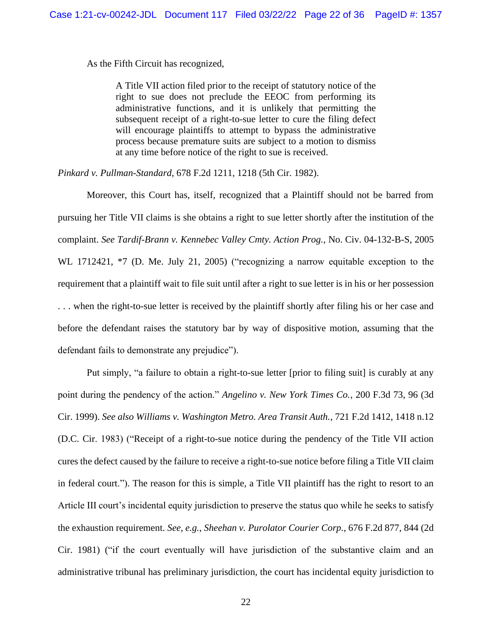As the Fifth Circuit has recognized,

A Title VII action filed prior to the receipt of statutory notice of the right to sue does not preclude the EEOC from performing its administrative functions, and it is unlikely that permitting the subsequent receipt of a right-to-sue letter to cure the filing defect will encourage plaintiffs to attempt to bypass the administrative process because premature suits are subject to a motion to dismiss at any time before notice of the right to sue is received.

*Pinkard v. Pullman-Standard*, 678 F.2d 1211, 1218 (5th Cir. 1982).

Moreover, this Court has, itself, recognized that a Plaintiff should not be barred from pursuing her Title VII claims is she obtains a right to sue letter shortly after the institution of the complaint. *See Tardif-Brann v. Kennebec Valley Cmty. Action Prog.*, No. Civ. 04-132-B-S, 2005 WL 1712421,  $*7$  (D. Me. July 21, 2005) ("recognizing a narrow equitable exception to the requirement that a plaintiff wait to file suit until after a right to sue letter is in his or her possession . . . when the right-to-sue letter is received by the plaintiff shortly after filing his or her case and before the defendant raises the statutory bar by way of dispositive motion, assuming that the defendant fails to demonstrate any prejudice").

Put simply, "a failure to obtain a right-to-sue letter [prior to filing suit] is curably at any point during the pendency of the action." *Angelino v. New York Times Co.*, 200 F.3d 73, 96 (3d Cir. 1999). *See also Williams v. Washington Metro. Area Transit Auth.*, 721 F.2d 1412, 1418 n.12 (D.C. Cir. 1983) ("Receipt of a right-to-sue notice during the pendency of the Title VII action cures the defect caused by the failure to receive a right-to-sue notice before filing a Title VII claim in federal court."). The reason for this is simple, a Title VII plaintiff has the right to resort to an Article III court's incidental equity jurisdiction to preserve the status quo while he seeks to satisfy the exhaustion requirement. *See, e.g.*, *Sheehan v. Purolator Courier Corp.*, 676 F.2d 877, 844 (2d Cir. 1981) ("if the court eventually will have jurisdiction of the substantive claim and an administrative tribunal has preliminary jurisdiction, the court has incidental equity jurisdiction to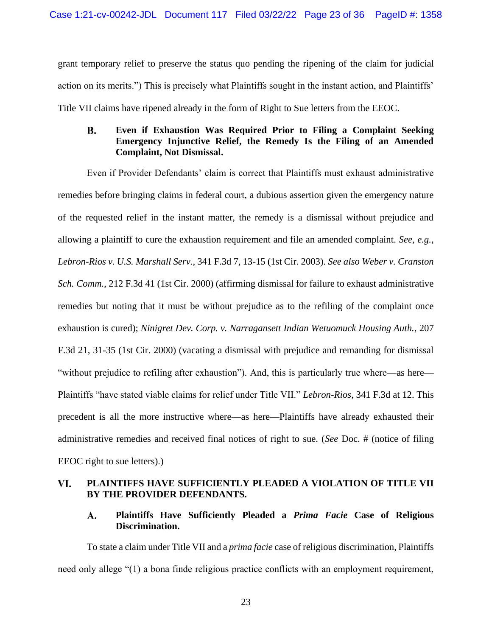grant temporary relief to preserve the status quo pending the ripening of the claim for judicial action on its merits.") This is precisely what Plaintiffs sought in the instant action, and Plaintiffs' Title VII claims have ripened already in the form of Right to Sue letters from the EEOC.

### $\mathbf{B}$ . **Even if Exhaustion Was Required Prior to Filing a Complaint Seeking Emergency Injunctive Relief, the Remedy Is the Filing of an Amended Complaint, Not Dismissal.**

Even if Provider Defendants' claim is correct that Plaintiffs must exhaust administrative remedies before bringing claims in federal court, a dubious assertion given the emergency nature of the requested relief in the instant matter, the remedy is a dismissal without prejudice and allowing a plaintiff to cure the exhaustion requirement and file an amended complaint. *See, e.g.*, *Lebron-Rios v. U.S. Marshall Serv.*, 341 F.3d 7, 13-15 (1st Cir. 2003). *See also Weber v. Cranston Sch. Comm.*, 212 F.3d 41 (1st Cir. 2000) (affirming dismissal for failure to exhaust administrative remedies but noting that it must be without prejudice as to the refiling of the complaint once exhaustion is cured); *Ninigret Dev. Corp. v. Narragansett Indian Wetuomuck Housing Auth.*, 207 F.3d 21, 31-35 (1st Cir. 2000) (vacating a dismissal with prejudice and remanding for dismissal "without prejudice to refiling after exhaustion"). And, this is particularly true where—as here— Plaintiffs "have stated viable claims for relief under Title VII." *Lebron-Rios*, 341 F.3d at 12. This precedent is all the more instructive where—as here—Plaintiffs have already exhausted their administrative remedies and received final notices of right to sue. (*See* Doc. # (notice of filing EEOC right to sue letters).)

#### **PLAINTIFFS HAVE SUFFICIENTLY PLEADED A VIOLATION OF TITLE VII**  VI. **BY THE PROVIDER DEFENDANTS.**

#### A. **Plaintiffs Have Sufficiently Pleaded a** *Prima Facie* **Case of Religious Discrimination.**

To state a claim under Title VII and a *prima facie* case of religious discrimination, Plaintiffs need only allege "(1) a bona finde religious practice conflicts with an employment requirement,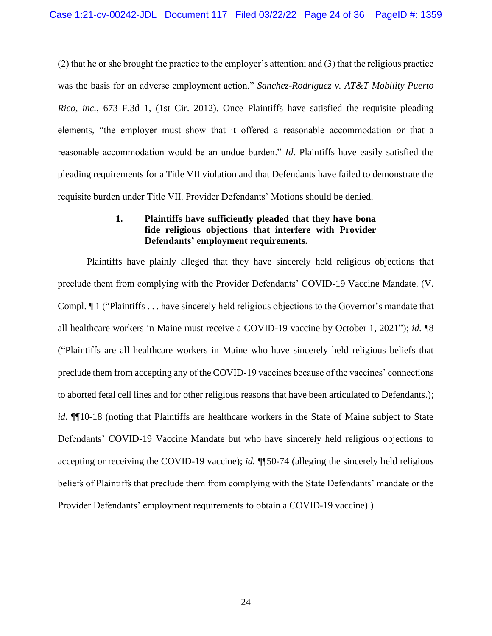(2) that he or she brought the practice to the employer's attention; and (3) that the religious practice was the basis for an adverse employment action." *Sanchez-Rodriguez v. AT&T Mobility Puerto Rico, inc.*, 673 F.3d 1, (1st Cir. 2012). Once Plaintiffs have satisfied the requisite pleading elements, "the employer must show that it offered a reasonable accommodation *or* that a reasonable accommodation would be an undue burden." *Id.* Plaintiffs have easily satisfied the pleading requirements for a Title VII violation and that Defendants have failed to demonstrate the requisite burden under Title VII. Provider Defendants' Motions should be denied.

## **1. Plaintiffs have sufficiently pleaded that they have bona fide religious objections that interfere with Provider Defendants' employment requirements.**

Plaintiffs have plainly alleged that they have sincerely held religious objections that preclude them from complying with the Provider Defendants' COVID-19 Vaccine Mandate. (V. Compl. ¶ 1 ("Plaintiffs . . . have sincerely held religious objections to the Governor's mandate that all healthcare workers in Maine must receive a COVID-19 vaccine by October 1, 2021"); *id.* ¶8 ("Plaintiffs are all healthcare workers in Maine who have sincerely held religious beliefs that preclude them from accepting any of the COVID-19 vaccines because of the vaccines' connections to aborted fetal cell lines and for other religious reasons that have been articulated to Defendants.); *id.*  $\P$ [10-18 (noting that Plaintiffs are healthcare workers in the State of Maine subject to State Defendants' COVID-19 Vaccine Mandate but who have sincerely held religious objections to accepting or receiving the COVID-19 vaccine); *id.* ¶¶50-74 (alleging the sincerely held religious beliefs of Plaintiffs that preclude them from complying with the State Defendants' mandate or the Provider Defendants' employment requirements to obtain a COVID-19 vaccine).)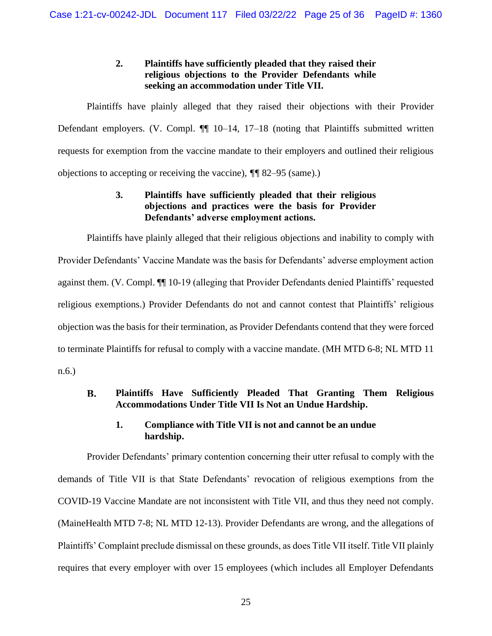# **2. Plaintiffs have sufficiently pleaded that they raised their religious objections to the Provider Defendants while seeking an accommodation under Title VII.**

Plaintiffs have plainly alleged that they raised their objections with their Provider Defendant employers. (V. Compl.  $\P$  10–14, 17–18 (noting that Plaintiffs submitted written requests for exemption from the vaccine mandate to their employers and outlined their religious objections to accepting or receiving the vaccine), *¶¶* 82–95 (same).)

# **3. Plaintiffs have sufficiently pleaded that their religious objections and practices were the basis for Provider Defendants' adverse employment actions.**

Plaintiffs have plainly alleged that their religious objections and inability to comply with Provider Defendants' Vaccine Mandate was the basis for Defendants' adverse employment action against them. (V. Compl. ¶¶ 10-19 (alleging that Provider Defendants denied Plaintiffs' requested religious exemptions.) Provider Defendants do not and cannot contest that Plaintiffs' religious objection was the basis for their termination, as Provider Defendants contend that they were forced to terminate Plaintiffs for refusal to comply with a vaccine mandate. (MH MTD 6-8; NL MTD 11 n.6.)

### **Plaintiffs Have Sufficiently Pleaded That Granting Them Religious B. Accommodations Under Title VII Is Not an Undue Hardship.**

# **1. Compliance with Title VII is not and cannot be an undue hardship.**

Provider Defendants' primary contention concerning their utter refusal to comply with the demands of Title VII is that State Defendants' revocation of religious exemptions from the COVID-19 Vaccine Mandate are not inconsistent with Title VII, and thus they need not comply. (MaineHealth MTD 7-8; NL MTD 12-13). Provider Defendants are wrong, and the allegations of Plaintiffs' Complaint preclude dismissal on these grounds, as does Title VII itself. Title VII plainly requires that every employer with over 15 employees (which includes all Employer Defendants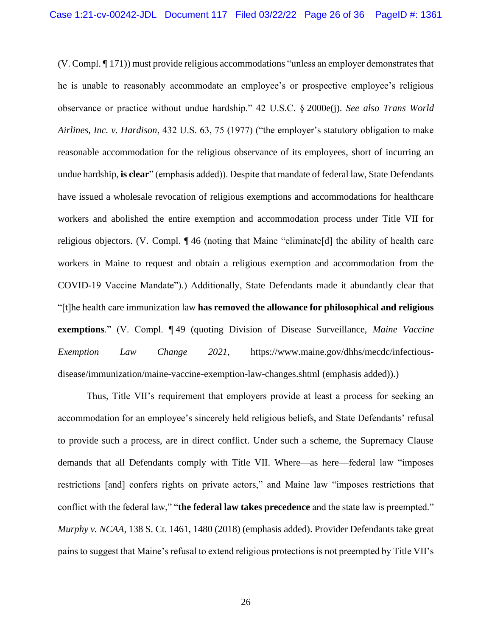(V. Compl. ¶ 171)) must provide religious accommodations "unless an employer demonstrates that he is unable to reasonably accommodate an employee's or prospective employee's religious observance or practice without undue hardship." 42 U.S.C. § 2000e(j). *See also Trans World Airlines, Inc. v. Hardison*, 432 U.S. 63, 75 (1977) ("the employer's statutory obligation to make reasonable accommodation for the religious observance of its employees, short of incurring an undue hardship, **is clear**" (emphasis added)). Despite that mandate of federal law, State Defendants have issued a wholesale revocation of religious exemptions and accommodations for healthcare workers and abolished the entire exemption and accommodation process under Title VII for religious objectors. (V. Compl. ¶ 46 (noting that Maine "eliminate[d] the ability of health care workers in Maine to request and obtain a religious exemption and accommodation from the COVID-19 Vaccine Mandate").) Additionally, State Defendants made it abundantly clear that "[t]he health care immunization law **has removed the allowance for philosophical and religious exemptions**." (V. Compl. ¶ 49 (quoting Division of Disease Surveillance, *Maine Vaccine Exemption Law Change 2021*, https://www.maine.gov/dhhs/mecdc/infectiousdisease/immunization/maine-vaccine-exemption-law-changes.shtml (emphasis added)).)

Thus, Title VII's requirement that employers provide at least a process for seeking an accommodation for an employee's sincerely held religious beliefs, and State Defendants' refusal to provide such a process, are in direct conflict. Under such a scheme, the Supremacy Clause demands that all Defendants comply with Title VII. Where—as here—federal law "imposes restrictions [and] confers rights on private actors," and Maine law "imposes restrictions that conflict with the federal law," "**the federal law takes precedence** and the state law is preempted." *Murphy v. NCAA*, 138 S. Ct. 1461, 1480 (2018) (emphasis added). Provider Defendants take great pains to suggest that Maine's refusal to extend religious protections is not preempted by Title VII's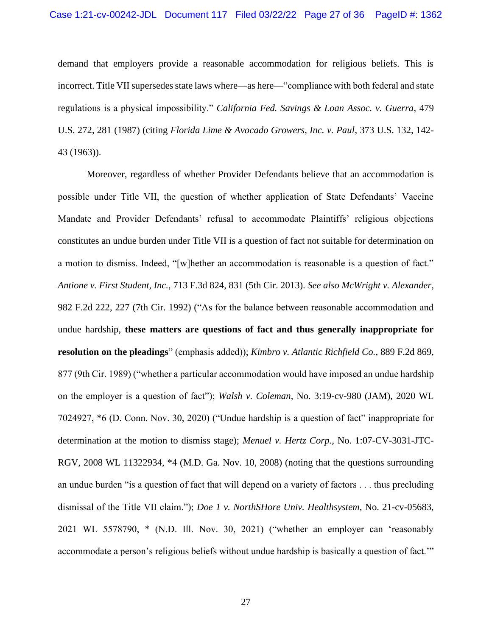demand that employers provide a reasonable accommodation for religious beliefs. This is incorrect. Title VII supersedes state laws where—as here—"compliance with both federal and state regulations is a physical impossibility." *California Fed. Savings & Loan Assoc. v. Guerra*, 479 U.S. 272, 281 (1987) (citing *Florida Lime & Avocado Growers, Inc. v. Paul*, 373 U.S. 132, 142- 43 (1963)).

Moreover, regardless of whether Provider Defendants believe that an accommodation is possible under Title VII, the question of whether application of State Defendants' Vaccine Mandate and Provider Defendants' refusal to accommodate Plaintiffs' religious objections constitutes an undue burden under Title VII is a question of fact not suitable for determination on a motion to dismiss. Indeed, "[w]hether an accommodation is reasonable is a question of fact." *Antione v. First Student, Inc.*, 713 F.3d 824, 831 (5th Cir. 2013). *See also McWright v. Alexander*, 982 F.2d 222, 227 (7th Cir. 1992) ("As for the balance between reasonable accommodation and undue hardship, **these matters are questions of fact and thus generally inappropriate for resolution on the pleadings**" (emphasis added)); *Kimbro v. Atlantic Richfield Co.*, 889 F.2d 869, 877 (9th Cir. 1989) ("whether a particular accommodation would have imposed an undue hardship on the employer is a question of fact"); *Walsh v. Coleman*, No. 3:19-cv-980 (JAM), 2020 WL 7024927, \*6 (D. Conn. Nov. 30, 2020) ("Undue hardship is a question of fact" inappropriate for determination at the motion to dismiss stage); *Menuel v. Hertz Corp.*, No. 1:07-CV-3031-JTC-RGV, 2008 WL 11322934, \*4 (M.D. Ga. Nov. 10, 2008) (noting that the questions surrounding an undue burden "is a question of fact that will depend on a variety of factors . . . thus precluding dismissal of the Title VII claim."); *Doe 1 v. NorthSHore Univ. Healthsystem*, No. 21-cv-05683, 2021 WL 5578790, \* (N.D. Ill. Nov. 30, 2021) ("whether an employer can 'reasonably accommodate a person's religious beliefs without undue hardship is basically a question of fact.'"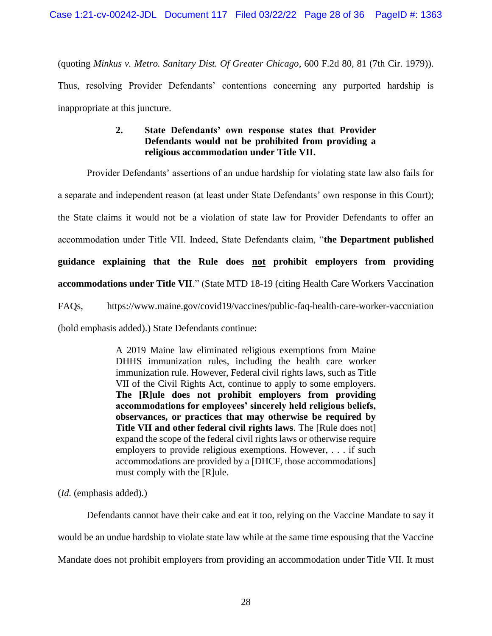(quoting *Minkus v. Metro. Sanitary Dist. Of Greater Chicago*, 600 F.2d 80, 81 (7th Cir. 1979)). Thus, resolving Provider Defendants' contentions concerning any purported hardship is inappropriate at this juncture.

# **2. State Defendants' own response states that Provider Defendants would not be prohibited from providing a religious accommodation under Title VII.**

Provider Defendants' assertions of an undue hardship for violating state law also fails for a separate and independent reason (at least under State Defendants' own response in this Court); the State claims it would not be a violation of state law for Provider Defendants to offer an accommodation under Title VII. Indeed, State Defendants claim, "**the Department published guidance explaining that the Rule does not prohibit employers from providing accommodations under Title VII**." (State MTD 18-19 (citing Health Care Workers Vaccination FAQs, https://www.maine.gov/covid19/vaccines/public-faq-health-care-worker-vaccniation

(bold emphasis added).) State Defendants continue:

A 2019 Maine law eliminated religious exemptions from Maine DHHS immunization rules, including the health care worker immunization rule. However, Federal civil rights laws, such as Title VII of the Civil Rights Act, continue to apply to some employers. **The [R]ule does not prohibit employers from providing accommodations for employees' sincerely held religious beliefs, observances, or practices that may otherwise be required by Title VII and other federal civil rights laws**. The [Rule does not] expand the scope of the federal civil rights laws or otherwise require employers to provide religious exemptions. However, . . . if such accommodations are provided by a [DHCF, those accommodations] must comply with the [R]ule.

(*Id.* (emphasis added).)

Defendants cannot have their cake and eat it too, relying on the Vaccine Mandate to say it would be an undue hardship to violate state law while at the same time espousing that the Vaccine Mandate does not prohibit employers from providing an accommodation under Title VII. It must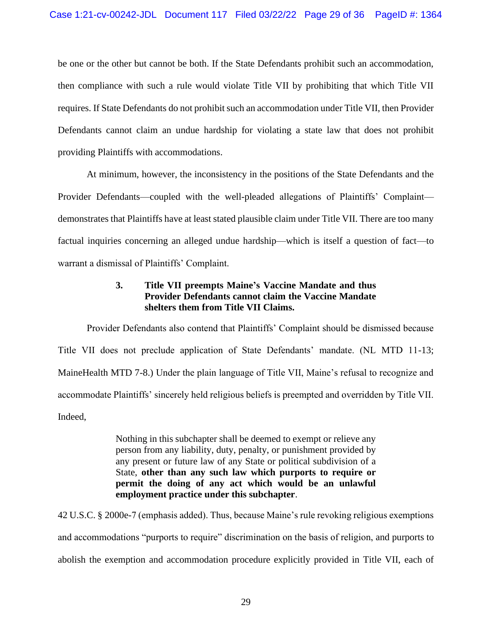be one or the other but cannot be both. If the State Defendants prohibit such an accommodation, then compliance with such a rule would violate Title VII by prohibiting that which Title VII requires. If State Defendants do not prohibit such an accommodation under Title VII, then Provider Defendants cannot claim an undue hardship for violating a state law that does not prohibit providing Plaintiffs with accommodations.

At minimum, however, the inconsistency in the positions of the State Defendants and the Provider Defendants—coupled with the well-pleaded allegations of Plaintiffs' Complaint demonstrates that Plaintiffs have at least stated plausible claim under Title VII. There are too many factual inquiries concerning an alleged undue hardship—which is itself a question of fact—to warrant a dismissal of Plaintiffs' Complaint.

# **3. Title VII preempts Maine's Vaccine Mandate and thus Provider Defendants cannot claim the Vaccine Mandate shelters them from Title VII Claims.**

Provider Defendants also contend that Plaintiffs' Complaint should be dismissed because Title VII does not preclude application of State Defendants' mandate. (NL MTD 11-13; MaineHealth MTD 7-8.) Under the plain language of Title VII, Maine's refusal to recognize and accommodate Plaintiffs' sincerely held religious beliefs is preempted and overridden by Title VII. Indeed,

> Nothing in this subchapter shall be deemed to exempt or relieve any person from any liability, duty, penalty, or punishment provided by any present or future law of any State or political subdivision of a State, **other than any such law which purports to require or permit the doing of any act which would be an unlawful employment practice under this subchapter**.

42 U.S.C. § 2000e-7 (emphasis added). Thus, because Maine's rule revoking religious exemptions and accommodations "purports to require" discrimination on the basis of religion, and purports to abolish the exemption and accommodation procedure explicitly provided in Title VII, each of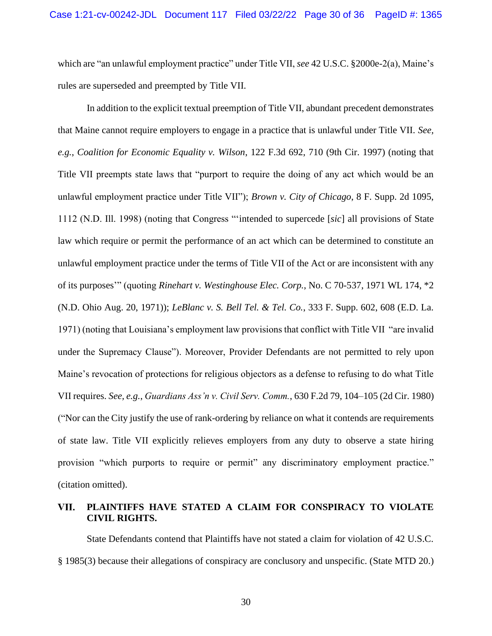which are "an unlawful employment practice" under Title VII, *see* 42 U.S.C. §2000e-2(a), Maine's rules are superseded and preempted by Title VII.

In addition to the explicit textual preemption of Title VII, abundant precedent demonstrates that Maine cannot require employers to engage in a practice that is unlawful under Title VII. *See, e.g.*, *Coalition for Economic Equality v. Wilson*, 122 F.3d 692, 710 (9th Cir. 1997) (noting that Title VII preempts state laws that "purport to require the doing of any act which would be an unlawful employment practice under Title VII"); *Brown v. City of Chicago*, 8 F. Supp. 2d 1095, 1112 (N.D. Ill. 1998) (noting that Congress "'intended to supercede [*sic*] all provisions of State law which require or permit the performance of an act which can be determined to constitute an unlawful employment practice under the terms of Title VII of the Act or are inconsistent with any of its purposes'" (quoting *Rinehart v. Westinghouse Elec. Corp.*, No. C 70-537, 1971 WL 174, \*2 (N.D. Ohio Aug. 20, 1971)); *LeBlanc v. S. Bell Tel. & Tel. Co.*, 333 F. Supp. 602, 608 (E.D. La. 1971) (noting that Louisiana's employment law provisions that conflict with Title VII "are invalid under the Supremacy Clause"). Moreover, Provider Defendants are not permitted to rely upon Maine's revocation of protections for religious objectors as a defense to refusing to do what Title VII requires. *See, e.g.*, *Guardians Ass'n v. Civil Serv. Comm.*, 630 F.2d 79, 104–105 (2d Cir. 1980) ("Nor can the City justify the use of rank-ordering by reliance on what it contends are requirements of state law. Title VII explicitly relieves employers from any duty to observe a state hiring provision "which purports to require or permit" any discriminatory employment practice." (citation omitted).

#### VII. **PLAINTIFFS HAVE STATED A CLAIM FOR CONSPIRACY TO VIOLATE CIVIL RIGHTS.**

State Defendants contend that Plaintiffs have not stated a claim for violation of 42 U.S.C. § 1985(3) because their allegations of conspiracy are conclusory and unspecific. (State MTD 20.)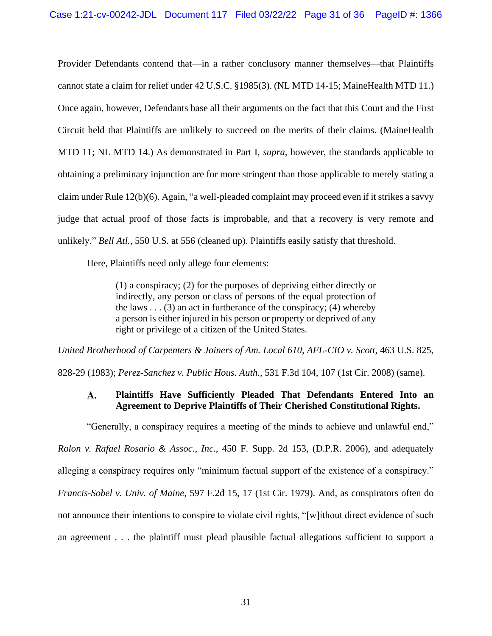Provider Defendants contend that—in a rather conclusory manner themselves—that Plaintiffs cannot state a claim for relief under 42 U.S.C. §1985(3). (NL MTD 14-15; MaineHealth MTD 11.) Once again, however, Defendants base all their arguments on the fact that this Court and the First Circuit held that Plaintiffs are unlikely to succeed on the merits of their claims. (MaineHealth MTD 11; NL MTD 14.) As demonstrated in Part I, *supra*, however, the standards applicable to obtaining a preliminary injunction are for more stringent than those applicable to merely stating a claim under Rule 12(b)(6). Again, "a well-pleaded complaint may proceed even if it strikes a savvy judge that actual proof of those facts is improbable, and that a recovery is very remote and unlikely." *Bell Atl.*, 550 U.S. at 556 (cleaned up). Plaintiffs easily satisfy that threshold.

Here, Plaintiffs need only allege four elements:

(1) a conspiracy; (2) for the purposes of depriving either directly or indirectly, any person or class of persons of the equal protection of the laws  $\dots$  (3) an act in furtherance of the conspiracy; (4) whereby a person is either injured in his person or property or deprived of any right or privilege of a citizen of the United States.

*United Brotherhood of Carpenters & Joiners of Am. Local 610, AFL-CIO v. Scott*, 463 U.S. 825,

828-29 (1983); *Perez-Sanchez v. Public Hous. Auth.*, 531 F.3d 104, 107 (1st Cir. 2008) (same).

#### **Plaintiffs Have Sufficiently Pleaded That Defendants Entered Into an**   $\mathbf{A}$ . **Agreement to Deprive Plaintiffs of Their Cherished Constitutional Rights.**

"Generally, a conspiracy requires a meeting of the minds to achieve and unlawful end," *Rolon v. Rafael Rosario & Assoc., Inc.*, 450 F. Supp. 2d 153, (D.P.R. 2006), and adequately

alleging a conspiracy requires only "minimum factual support of the existence of a conspiracy."

*Francis-Sobel v. Univ. of Maine*, 597 F.2d 15, 17 (1st Cir. 1979). And, as conspirators often do

not announce their intentions to conspire to violate civil rights, "[w]ithout direct evidence of such

an agreement . . . the plaintiff must plead plausible factual allegations sufficient to support a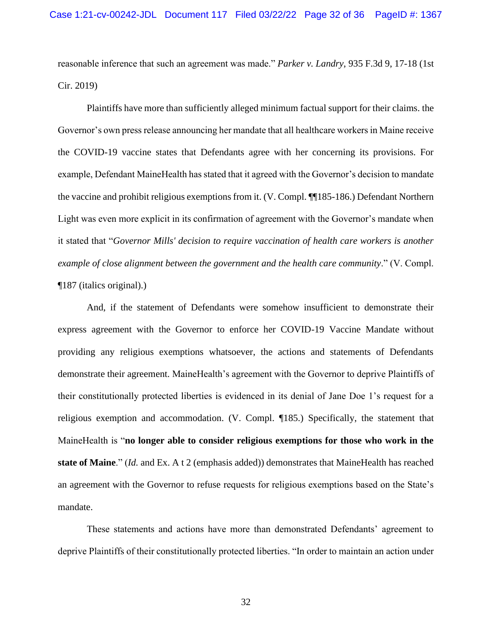reasonable inference that such an agreement was made." *Parker v. Landry*, 935 F.3d 9, 17-18 (1st Cir. 2019)

Plaintiffs have more than sufficiently alleged minimum factual support for their claims. the Governor's own press release announcing her mandate that all healthcare workers in Maine receive the COVID-19 vaccine states that Defendants agree with her concerning its provisions. For example, Defendant MaineHealth has stated that it agreed with the Governor's decision to mandate the vaccine and prohibit religious exemptions from it. (V. Compl. ¶¶185-186.) Defendant Northern Light was even more explicit in its confirmation of agreement with the Governor's mandate when it stated that "*Governor Mills' decision to require vaccination of health care workers is another example of close alignment between the government and the health care community*." (V. Compl. ¶187 (italics original).)

And, if the statement of Defendants were somehow insufficient to demonstrate their express agreement with the Governor to enforce her COVID-19 Vaccine Mandate without providing any religious exemptions whatsoever, the actions and statements of Defendants demonstrate their agreement. MaineHealth's agreement with the Governor to deprive Plaintiffs of their constitutionally protected liberties is evidenced in its denial of Jane Doe 1's request for a religious exemption and accommodation. (V. Compl. ¶185.) Specifically, the statement that MaineHealth is "**no longer able to consider religious exemptions for those who work in the state of Maine**." (*Id.* and Ex. A t 2 (emphasis added)) demonstrates that MaineHealth has reached an agreement with the Governor to refuse requests for religious exemptions based on the State's mandate.

These statements and actions have more than demonstrated Defendants' agreement to deprive Plaintiffs of their constitutionally protected liberties. "In order to maintain an action under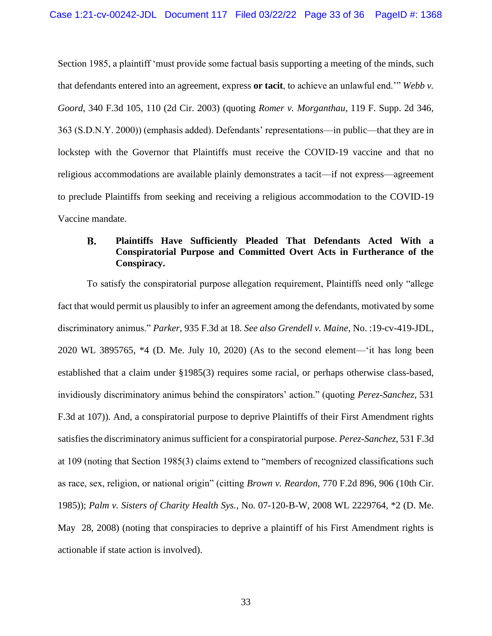Section 1985, a plaintiff 'must provide some factual basis supporting a meeting of the minds, such that defendants entered into an agreement, express **or tacit**, to achieve an unlawful end.'" *Webb v. Goord*, 340 F.3d 105, 110 (2d Cir. 2003) (quoting *Romer v. Morganthau*, 119 F. Supp. 2d 346, 363 (S.D.N.Y. 2000)) (emphasis added). Defendants' representations—in public—that they are in lockstep with the Governor that Plaintiffs must receive the COVID-19 vaccine and that no religious accommodations are available plainly demonstrates a tacit—if not express—agreement to preclude Plaintiffs from seeking and receiving a religious accommodation to the COVID-19 Vaccine mandate.

### **B. Plaintiffs Have Sufficiently Pleaded That Defendants Acted With a Conspiratorial Purpose and Committed Overt Acts in Furtherance of the Conspiracy.**

To satisfy the conspiratorial purpose allegation requirement, Plaintiffs need only "allege fact that would permit us plausibly to infer an agreement among the defendants, motivated by some discriminatory animus." *Parker*, 935 F.3d at 18. *See also Grendell v. Maine*, No. :19-cv-419-JDL, 2020 WL 3895765, \*4 (D. Me. July 10, 2020) (As to the second element—'it has long been established that a claim under §1985(3) requires some racial, or perhaps otherwise class-based, invidiously discriminatory animus behind the conspirators' action." (quoting *Perez-Sanchez*, 531 F.3d at 107)). And, a conspiratorial purpose to deprive Plaintiffs of their First Amendment rights satisfies the discriminatory animus sufficient for a conspiratorial purpose. *Perez-Sanchez*, 531 F.3d at 109 (noting that Section 1985(3) claims extend to "members of recognized classifications such as race, sex, religion, or national origin" (citting *Brown v. Reardon*, 770 F.2d 896, 906 (10th Cir. 1985)); *Palm v. Sisters of Charity Health Sys.*, No. 07-120-B-W, 2008 WL 2229764, \*2 (D. Me. May 28, 2008) (noting that conspiracies to deprive a plaintiff of his First Amendment rights is actionable if state action is involved).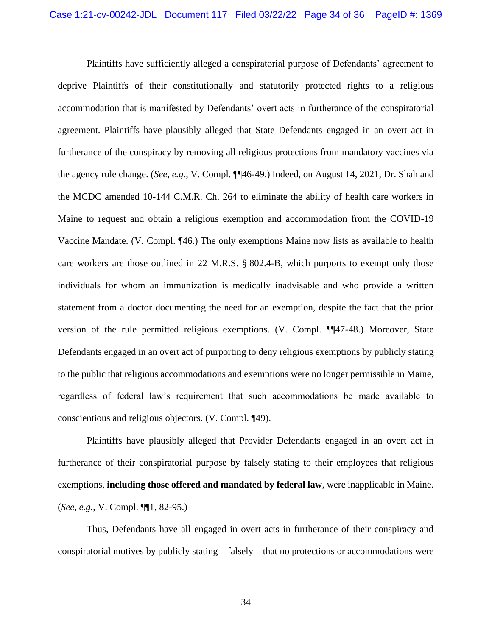Plaintiffs have sufficiently alleged a conspiratorial purpose of Defendants' agreement to deprive Plaintiffs of their constitutionally and statutorily protected rights to a religious accommodation that is manifested by Defendants' overt acts in furtherance of the conspiratorial agreement. Plaintiffs have plausibly alleged that State Defendants engaged in an overt act in furtherance of the conspiracy by removing all religious protections from mandatory vaccines via the agency rule change. (*See, e.g.*, V. Compl. ¶¶46-49.) Indeed, on August 14, 2021, Dr. Shah and the MCDC amended 10-144 C.M.R. Ch. 264 to eliminate the ability of health care workers in Maine to request and obtain a religious exemption and accommodation from the COVID-19 Vaccine Mandate. (V. Compl. ¶46.) The only exemptions Maine now lists as available to health care workers are those outlined in 22 M.R.S. § 802.4-B, which purports to exempt only those individuals for whom an immunization is medically inadvisable and who provide a written statement from a doctor documenting the need for an exemption, despite the fact that the prior version of the rule permitted religious exemptions. (V. Compl. ¶¶47-48.) Moreover, State Defendants engaged in an overt act of purporting to deny religious exemptions by publicly stating to the public that religious accommodations and exemptions were no longer permissible in Maine, regardless of federal law's requirement that such accommodations be made available to conscientious and religious objectors. (V. Compl. ¶49).

Plaintiffs have plausibly alleged that Provider Defendants engaged in an overt act in furtherance of their conspiratorial purpose by falsely stating to their employees that religious exemptions, **including those offered and mandated by federal law**, were inapplicable in Maine. (*See, e.g.*, V. Compl. ¶¶1, 82-95.)

Thus, Defendants have all engaged in overt acts in furtherance of their conspiracy and conspiratorial motives by publicly stating—falsely—that no protections or accommodations were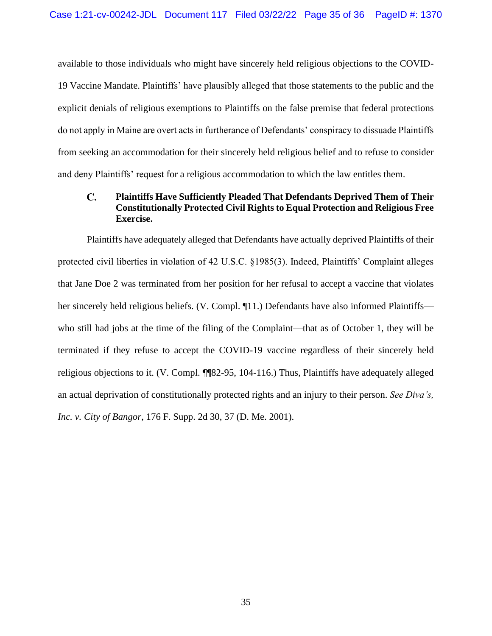available to those individuals who might have sincerely held religious objections to the COVID-19 Vaccine Mandate. Plaintiffs' have plausibly alleged that those statements to the public and the explicit denials of religious exemptions to Plaintiffs on the false premise that federal protections do not apply in Maine are overt acts in furtherance of Defendants' conspiracy to dissuade Plaintiffs from seeking an accommodation for their sincerely held religious belief and to refuse to consider and deny Plaintiffs' request for a religious accommodation to which the law entitles them.

### $\mathbf{C}$ . **Plaintiffs Have Sufficiently Pleaded That Defendants Deprived Them of Their Constitutionally Protected Civil Rights to Equal Protection and Religious Free Exercise.**

Plaintiffs have adequately alleged that Defendants have actually deprived Plaintiffs of their protected civil liberties in violation of 42 U.S.C. §1985(3). Indeed, Plaintiffs' Complaint alleges that Jane Doe 2 was terminated from her position for her refusal to accept a vaccine that violates her sincerely held religious beliefs. (V. Compl. ¶11.) Defendants have also informed Plaintiffs who still had jobs at the time of the filing of the Complaint—that as of October 1, they will be terminated if they refuse to accept the COVID-19 vaccine regardless of their sincerely held religious objections to it. (V. Compl. ¶¶82-95, 104-116.) Thus, Plaintiffs have adequately alleged an actual deprivation of constitutionally protected rights and an injury to their person. *See Diva's, Inc. v. City of Bangor*, 176 F. Supp. 2d 30, 37 (D. Me. 2001).